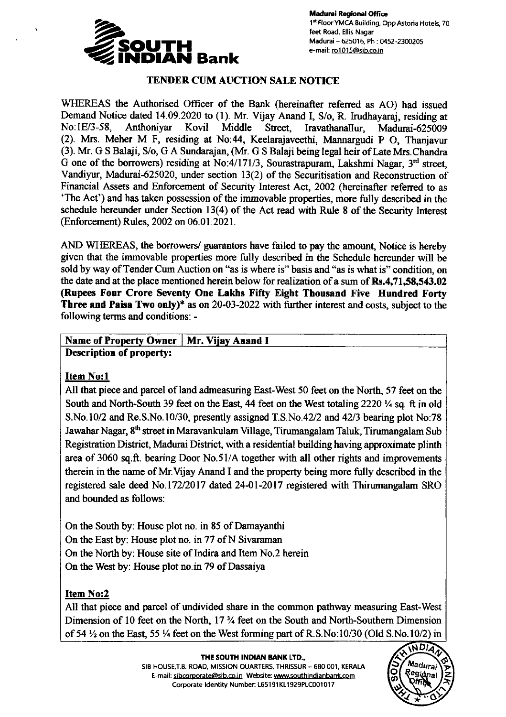

# TENDER CUM AUCTION SALE NOTICE

WHEREAS the Authorised Officer of the Bank (hereinafter referred as AO) had issued Demand Notice dated 14.09.2020 to (1). Mr. Vijay Anand I, S/o, R. Irudhayaraj, residing at No:1E/3-58, Anthoniyar Kovil Middle Street, Iravathanallur, Madurai-625009 (2). Mrs. Meher M F, residing at No:44, Keelarajaveethi, Mannargudi P O, Thanjavur (3). Mr. G S Balaji, S/o, G A Sundarajan, (Mr. G S Balaji being legal heir of Late Mrs.Chandra G one of the borrowers) residing at No:4/171/3, Sourastrapuram, Lakshmi Nagar,  $3<sup>rd</sup>$  street, Vandiyur, Madurai-625020, under section 13(2) of the Securitisation and Reconstruction of Financial Assets and Enforcement of Security Interest Act, 2002 (hereinafter refened to as 'The Acf) and has taken possession of the immovable properties, more fully described in the schedule hereunder under Section  $13(4)$  of the Act read with Rule 8 of the Security Interest (Enforcement) Rules, 2002 on 06.01.2021.

AND WHEREAS, the borrowers/ guarantors have failed to pay the amount, Notice is hereby given that the immovable properties more fully described in the Schedule hereunder will be sold by way of Tender Cum Auction on "as is where is" basis and "as is what is" condition, on the date and at the place mentioned herein below for realization of a sum of  $\mathbb{R}s.4,71,58,543.02$ (Rupees Four Crore Seventy One Lakhs Fifty Eight Thousand Five Hundred Forty Three and Paisa Two only)\* as on  $20-03-2022$  with further interest and costs, subject to the following terms and conditions: -

#### Name of Property Owner | Mr. Vijay Anand I Description of property:

## Item No:l

All that piece and parcel of land admeasuring East-West 50 feet on the North, 57 feet on the South and North-South 39 feet on the East, 44 feet on the West totaling 2220  $\frac{1}{4}$  sq. ft in old S.No.10/2 and Re.S.No.10/30, presently assigned T.S.No.42/2 and 42/3 bearing plot No.78 Jawahar Nagar, 8<sup>th</sup> street in Maravankulam Village, Tirumangalam Taluk, Tirumangalam Sub Registration District, Madwai District, with a residential building having approximate plinth area of 3060 sq.ft. bearing Door No.51/A together with all other rights and improvements therein in the name of Mr. Vijay Anand I and the property being more fully described in the registered sale deed No.172/2017 dated 24-01-2017 registered with Thirumangalam SRO and bounded as follows:

On the South by: House plot no. in 85 of Damayanthi On the East by: House plot no. in 77 of N Sivaraman On the North by: House site of Indira and Item No.2 herein On the West by: House plot no.in 79 of Dassaiya

## Item No:2

All that piece and parcel of undivided share in the common pathway measuring East-West Dimension of 10 feet on the North, 17 <sup>3</sup>/<sub>4</sub> feet on the South and North-Southern Dimension of 54  $\frac{1}{2}$  on the East, 55  $\frac{1}{4}$  feet on the West forming part of R.S.No:10/30 (Old S.No. 10/2) in

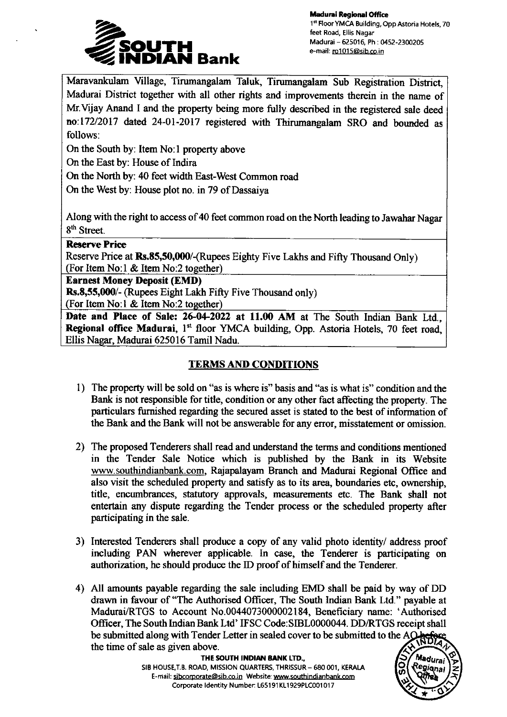

Madurai Regional Office 1st Floor YMCA Building, Opp Astoria Hotels, 70 feet Road, Ellis Nagar Madurai - 625016, Ph : 0452-2300205 e-mail: ro1015@sib.co.in

Maravankulam Village, Tirumangalam Taluk, Tirumangalam Sub Registration District, Madurai District together with all other rights and improvements therein in the name of Mr. Vijay Anand I and the property being more fully described in the registered sale deed no:172/2017 dated 24-01-2017 registered with Thirumangalam SRO and bounded as follows:

On the South by: Item No:l property above

On the East by: House of Indira

On the North by: 40 feet width East-West Common road

On the West by: House plot no. in 79 of Dassaiya

Along with the right to access of 40 feet common road on the North leading to Jawahar Nagar 8<sup>th</sup> Street.

#### Reserve Price

Reserve Price at Rs.85,50,000/-(Rupees Eighty Five Lakhs and Fifty Thousand Only) (For Item No:l & Item No:2 together)

Earnest Money Deposit (EMD)

Rs.8,55,000/- (Rupees Eight Lakh Fifty Five Thousand only)

(For ItemNo:1 & Item No:2 together)

Date and Place of Sale: 26-04-2022 at 11.00 AM at The South Indian Bank Ltd., Regional office Madurai, 1<sup>st</sup> floor YMCA building, Opp. Astoria Hotels, 70 feet road, Ellis Nagar, Madurai 625016 Tamil Nadu.

# **TERMS AND CONDITIONS**

- 1) The property will be sold on "as is where is" basis and "as is what is" condition and the Bank is not responsible for title, condition or any other fact affecting the property. The particulars furnished regarding the secured asset is stated to the best of information of the Bank and the Bank will not be answerable for any error, misstatement or omission.
- 2) The proposed Tenderers shall read and understand the terms and conditions mentioned in the Tender Sale Notice which is published by the Bank in its Website www.southindianbank.com, Rajapalayam Branch and Madurai Regional Office and also visit the scheduled property and satisfy as to its area, boundaries etc, ownership, title, encumbrances, statutory approvals, measurements etc. The Bank shall not entertain any dispute regarding the Tender process or the scheduled property after participating in the sale.
- 3) Interested Tenderers shall produce a copy of any valid photo identity/ address proof including PAN wherever applicable. ln case, the Tenderer is participating on authorization, he should produce the ID proof of himself and the Tenderer.
- 4) A1l amounts payable regarding the sale including EMD shall be paid by way of DD drawn in favour of "The Authorised Officer, The South Indian Bank Ltd." payable at Madurai/RTGS to Account No.0044073000002184, Beneficiary name: 'Authorised Ofiicer, The South Indian Bank Ltd' IFSC Code:SIBL0000044. DD/RTGS receipt shall be submitted along with Tender Letter in sealed cover to be submitted to the Athe time of sale as given above.

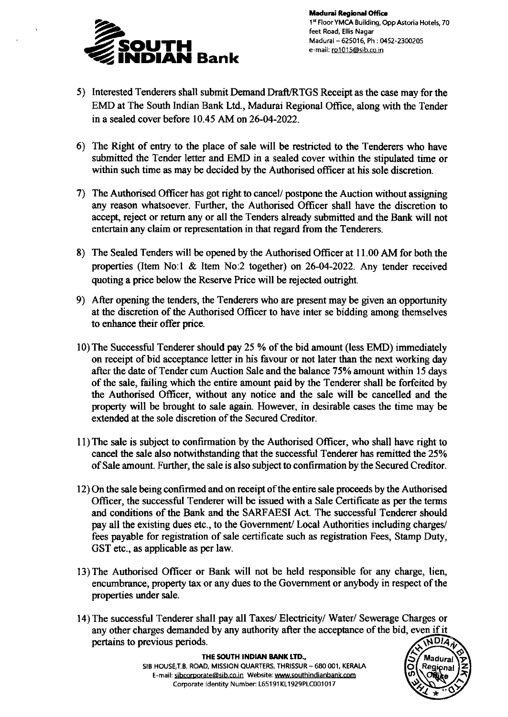

- 5) Interested Tenderers shall submit Demand Draft/RTGS Receipt as the case may for the EMD at The South Indian Bank Ltd., Madurai Regional Offrce, along with the Tender in a sealed cover before 10.45 AM on 26-04-2022.
- 6) The Right of entry to the place of sale will be restricted to the Tenderers who have submitted the Tender letter and EMD in a sealed cover within the stipulated time or within such time as may be decided by the Authorised officer at his sole discretion.
- 7) The Authorised Officer has got right to cancel/ postpone the Auction without assigring any reason whatsoever. Further, the Authorised Officer shall have the discretion to accept, rcject or retum any or all the Tenders already submitted and the Bank will not entertain any claim or representation in that regard from the Tenderers.
- 8) The Sealed Tenders will be opened by the Authorised Officer at I 1.00 AM for both the properties (Item No:l & Item No:2 together) on 26-04-2022. Any tender received quoting a price below the Reserve Price will be rejected outright.
- 9) After opening the tenders, the Tenderers who are present may be given an opportunity at the discretion of the Authorised Offrcer to have inter se bidding among themselves to enhance their offer price.
- 10) The Successful Tenderer should pay 25 % of the bid amount (less EMD) immediately on receipt of bid acceptance letter in his favour or not later than the nex working day after the date of Tender cum Auction Sale and the balance 75% amount within 15 days of the sale, failing which the entire amount paid by the Tenderer shall be forfeited by the Authorised Officer, without any notice and the sale will be cancelled and the property will be brought to sale again. However, in desirable cases the time may be extended at the sole discretion of the Secured Creditor.
- 1l)The sale is subject to confirmation by the Authorised Officer, who shall have right to cancel the sale also notwithstanding that the successful Tenderer has remitted the 25% of Sale amount. Further, the sale is also subject to confirmation by the Secued Creditor.
- 12) On the sale being confirmed and on receipt of the entire sale proceeds by the Authorised Officer, the successful Tenderer will be issued with a Sale Certificate as per the terms and conditions of the Bank and the SARFAESI Act. The successful Tenderer should pay all the existing dues etc., to the Government/ Local Authorities including charges/ fees payable for registration of sale certificate such as registration Fees, Stamp Duty, GST etc., as applicable as per law.
- 13) The Authorised Officer or Bank will not be held responsible for any charge, lien, encumbrance, property tax or any dues to the Government or anybody in respect of the properties under sale.
- 14) The successful Tenderer shall pay all Taxes/ Electricity/ Water/ Sewerage Charges or any other charges demanded by any authority after the acceptance of the bid, even if itpertains to previous periods. **MDIA**